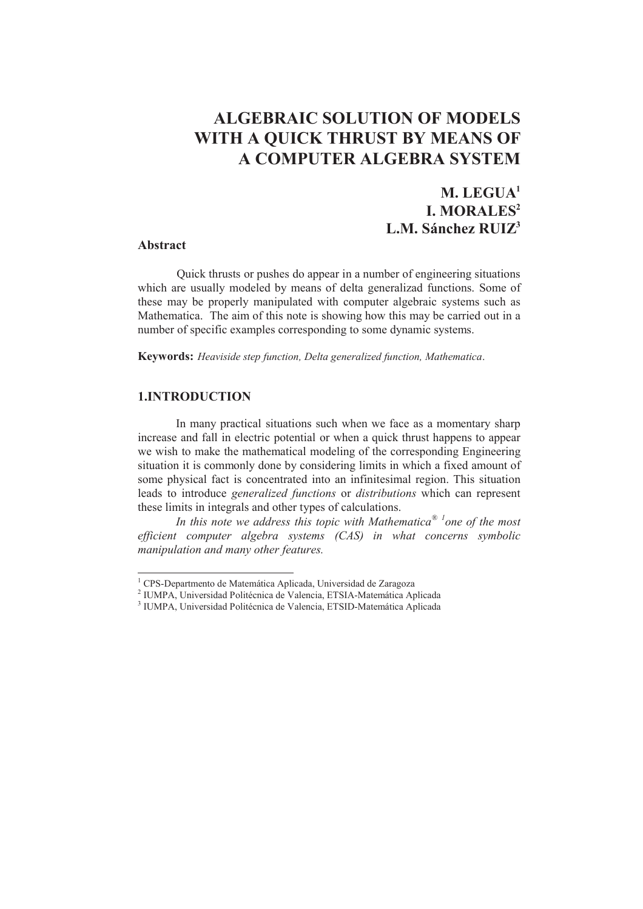# **ALGEBRAIC SOLUTION OF MODELS WITH A QUICK THRUST BY MEANS OF A COMPUTER ALGEBRA SYSTEM**

# **M. LEGUA1 I. MORALES2 L.M. Sánchez RUIZ3**

#### **Abstract**

 $\overline{a}$ 

Quick thrusts or pushes do appear in a number of engineering situations which are usually modeled by means of delta generalizad functions. Some of these may be properly manipulated with computer algebraic systems such as Mathematica. The aim of this note is showing how this may be carried out in a number of specific examples corresponding to some dynamic systems.

**Keywords:** *Heaviside step function, Delta generalized function, Mathematica*.

# **1.INTRODUCTION**

In many practical situations such when we face as a momentary sharp increase and fall in electric potential or when a quick thrust happens to appear we wish to make the mathematical modeling of the corresponding Engineering situation it is commonly done by considering limits in which a fixed amount of some physical fact is concentrated into an infinitesimal region. This situation leads to introduce *generalized functions* or *distributions* which can represent these limits in integrals and other types of calculations.

*In this note we address this topic with Mathematica® 1one of the most efficient computer algebra systems (CAS) in what concerns symbolic manipulation and many other features.*

<sup>1</sup> CPS-Departmento de Matemática Aplicada, Universidad de Zaragoza

<sup>2</sup> IUMPA, Universidad Politécnica de Valencia, ETSIA-Matemática Aplicada

<sup>3</sup> IUMPA, Universidad Politécnica de Valencia, ETSID-Matemática Aplicada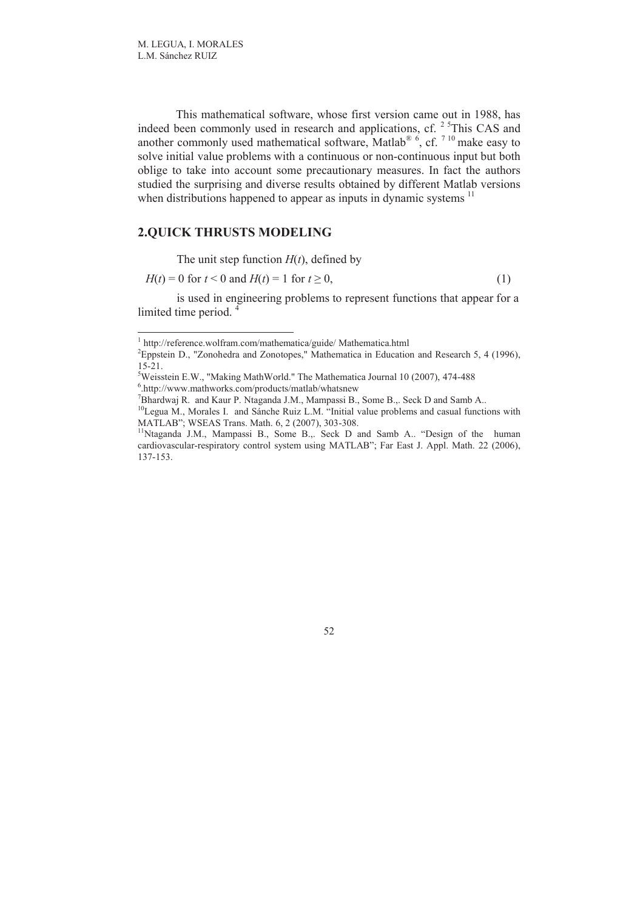$\overline{a}$ 

This mathematical software, whose first version came out in 1988, has indeed been commonly used in research and applications, cf.  $2<sup>5</sup>$ This CAS and another commonly used mathematical software, Matlab<sup>® 6</sup>, cf.  $7^{10}$  make easy to solve initial value problems with a continuous or non-continuous input but both oblige to take into account some precautionary measures. In fact the authors studied the surprising and diverse results obtained by different Matlab versions when distributions happened to appear as inputs in dynamic systems  $\frac{11}{11}$ 

#### **2.QUICK THRUSTS MODELING**

The unit step function  $H(t)$ , defined by

$$
H(t) = 0 \text{ for } t < 0 \text{ and } H(t) = 1 \text{ for } t \ge 0,\tag{1}
$$

is used in engineering problems to represent functions that appear for a limited time period.<sup>4</sup>

<sup>1</sup> http://reference.wolfram.com/mathematica/guide/ Mathematica.html

<sup>&</sup>lt;sup>2</sup> Eppstein D., "Zonohedra and Zonotopes," Mathematica in Education and Research 5, 4 (1996), 15-21.

<sup>&</sup>lt;sup>5</sup>Weisstein E.W., "Making MathWorld." The Mathematica Journal 10 (2007), 474-488

<sup>6</sup> .http://www.mathworks.com/products/matlab/whatsnew

<sup>&</sup>lt;sup>7</sup>Bhardwaj R. and Kaur P. Ntaganda J.M., Mampassi B., Some B.,. Seck D and Samb A..

<sup>&</sup>lt;sup>10</sup>Legua M., Morales I. and Sánche Ruiz L.M. "Initial value problems and casual functions with MATLAB"; WSEAS Trans. Math. 6, 2 (2007), 303-308.

<sup>&</sup>lt;sup>11</sup>Ntaganda J.M., Mampassi B., Some B.,. Seck D and Samb A.. "Design of the human cardiovascular-respiratory control system using MATLAB"; Far East J. Appl. Math. 22 (2006), 137-153.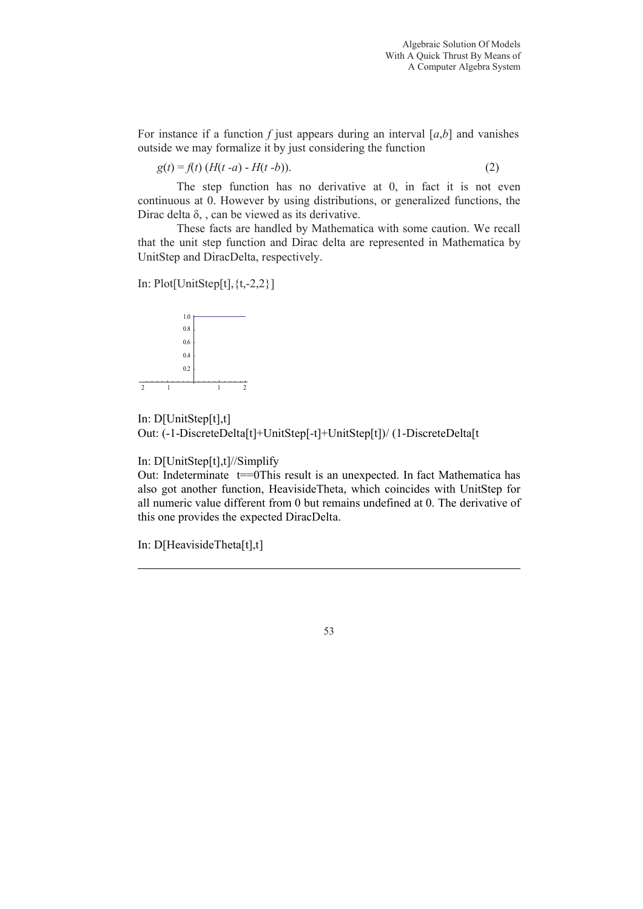For instance if a function  $f$  just appears during an interval  $[a,b]$  and vanishes outside we may formalize it by just considering the function

$$
g(t) = f(t) (H(t - a) - H(t - b)).
$$
 (2)

The step function has no derivative at 0, in fact it is not even continuous at 0. However by using distributions, or generalized functions, the Dirac delta  $\delta$ , , can be viewed as its derivative.

These facts are handled by Mathematica with some caution. We recall that the unit step function and Dirac delta are represented in Mathematica by UnitStep and DiracDelta, respectively.

In:  $Plot[UnitStep[t], \{t,-2,2\}]$ 



In: D[UnitStep[t],t] Out: (-1-DiscreteDelta[t]+UnitStep[-t]+UnitStep[t])/ (1-DiscreteDelta[t

In: D[UnitStep[t],t]//Simplify

Out: Indeterminate t==0This result is an unexpected. In fact Mathematica has also got another function, HeavisideTheta, which coincides with UnitStep for all numeric value different from 0 but remains undefined at 0. The derivative of this one provides the expected DiracDelta.

In: D[HeavisideTheta[t],t]

 $\overline{\phantom{a}}$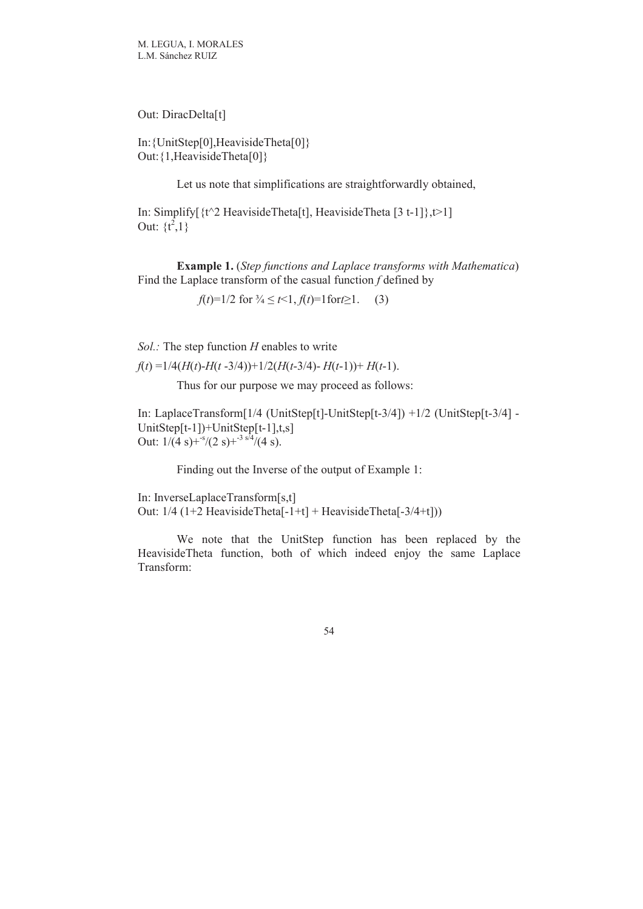Out: DiracDelta[t]

In:{UnitStep[0],HeavisideTheta[0]} Out:{1,HeavisideTheta[0]}

Let us note that simplifications are straightforwardly obtained,

In: Simplify $\lceil \frac{t^2}{2} \text{ HeavisideTheta}[t]$ , HeavisideTheta  $\lceil 3 t-1 \rceil$ ,  $t>1$ ] Out:  $\{t^2, 1\}$ 

**Example 1.** (*Step functions and Laplace transforms with Mathematica*) Find the Laplace transform of the casual function *f* defined by

*f*(*t*)=1/2 for  $\frac{3}{4} \le t \le 1$ ,  $f(t) = 1$  for  $t \ge 1$ . (3)

*Sol.:* The step function *H* enables to write

 $f(t) = 1/4(H(t) - H(t - 3/4)) + 1/2(H(t - 3/4) - H(t - 1)) + H(t - 1).$ 

Thus for our purpose we may proceed as follows:

In: LaplaceTransform[1/4 (UnitStep[t]-UnitStep[t-3/4]) +1/2 (UnitStep[t-3/4] -UnitStep[t-1])+UnitStep[t-1],t,s] Out:  $1/(4 \text{ s}) + \frac{s}{2} (2 \text{ s}) + \frac{s}{4} / (4 \text{ s}).$ 

Finding out the Inverse of the output of Example 1:

In: InverseLaplaceTransform[s,t] Out: 1/4 (1+2 HeavisideTheta[-1+t] + HeavisideTheta[-3/4+t]))

We note that the UnitStep function has been replaced by the HeavisideTheta function, both of which indeed enjoy the same Laplace Transform: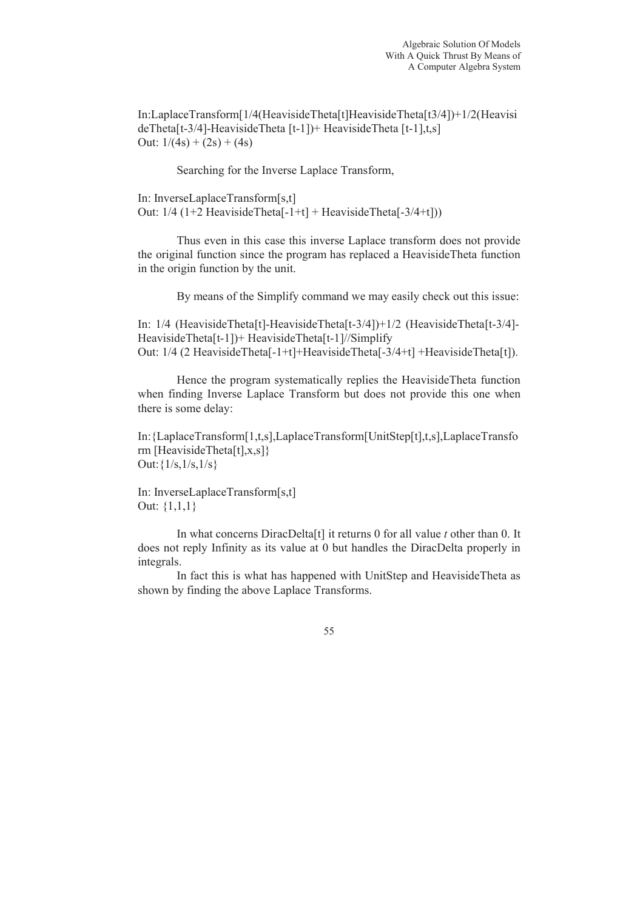In:LaplaceTransform[1/4(HeavisideTheta[t]HeavisideTheta[t3/4])+1/2(Heavisi deTheta[t-3/4]-HeavisideTheta [t-1])+ HeavisideTheta [t-1],t,s] Out:  $1/(4s) + (2s) + (4s)$ 

Searching for the Inverse Laplace Transform,

In: InverseLaplaceTransform[s,t] Out:  $1/4$  (1+2 HeavisideTheta[-1+t] + HeavisideTheta[-3/4+t]))

Thus even in this case this inverse Laplace transform does not provide the original function since the program has replaced a HeavisideTheta function in the origin function by the unit.

By means of the Simplify command we may easily check out this issue:

In: 1/4 (HeavisideTheta[t]-HeavisideTheta[t-3/4])+1/2 (HeavisideTheta[t-3/4]- HeavisideTheta[t-1])+ HeavisideTheta[t-1]//Simplify Out: 1/4 (2 HeavisideTheta[-1+t]+HeavisideTheta[-3/4+t] +HeavisideTheta[t]).

Hence the program systematically replies the HeavisideTheta function when finding Inverse Laplace Transform but does not provide this one when there is some delay:

In:{LaplaceTransform[1,t,s],LaplaceTransform[UnitStep[t],t,s],LaplaceTransfo rm [HeavisideTheta[t],x,s]} Out:{1/s,1/s,1/s}

In: InverseLaplaceTransform[s,t] Out: {1,1,1}

In what concerns DiracDelta[t] it returns 0 for all value *t* other than 0. It does not reply Infinity as its value at 0 but handles the DiracDelta properly in integrals.

In fact this is what has happened with UnitStep and HeavisideTheta as shown by finding the above Laplace Transforms.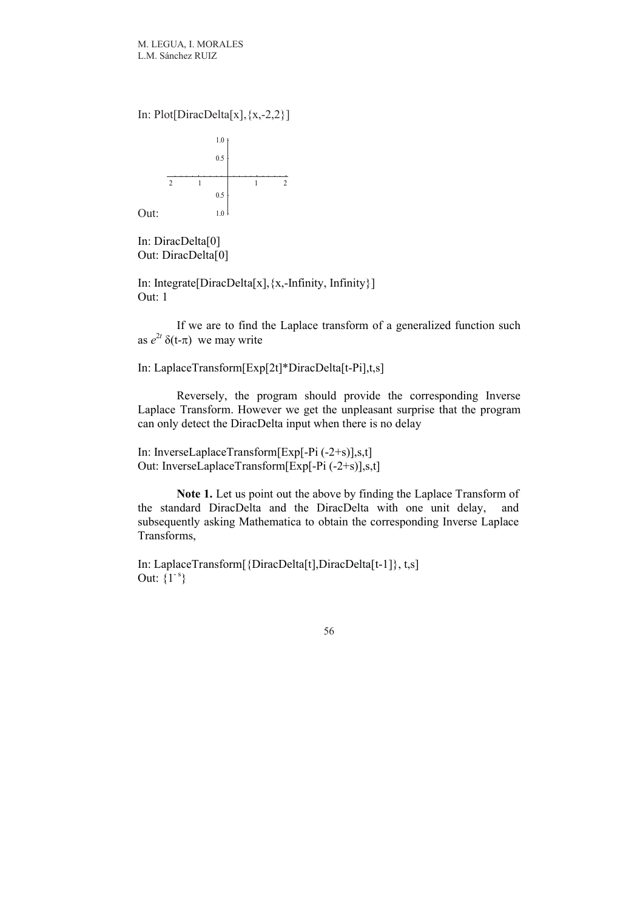In: Plot[DiracDelta[x], $\{x,-2,2\}$ ]



In: DiracDelta[0] Out: DiracDelta[0]

In: Integrate[DiracDelta[x],{x,-Infinity, Infinity}] Out: 1

If we are to find the Laplace transform of a generalized function such as  $e^{2t} \delta(t-\pi)$  we may write

In: LaplaceTransform[Exp[2t]\*DiracDelta[t-Pi],t,s]

Reversely, the program should provide the corresponding Inverse Laplace Transform. However we get the unpleasant surprise that the program can only detect the DiracDelta input when there is no delay

In: InverseLaplaceTransform[Exp[-Pi (-2+s)],s,t] Out: InverseLaplaceTransform[Exp[-Pi (-2+s)],s,t]

**Note 1.** Let us point out the above by finding the Laplace Transform of the standard DiracDelta and the DiracDelta with one unit delay, and subsequently asking Mathematica to obtain the corresponding Inverse Laplace Transforms,

In: LaplaceTransform[{DiracDelta[t],DiracDelta[t-1]}, t,s] Out:  $\{1^{-s}\}$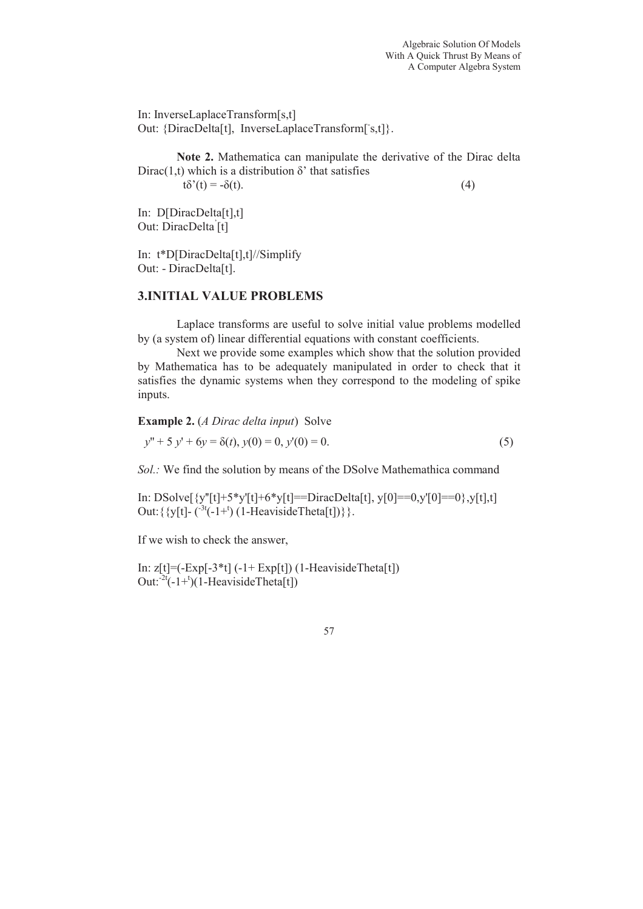In: InverseLaplaceTransform[s,t] Out: {DiracDelta[t], InverseLaplaceTransform[s,t]}.

**Note 2.** Mathematica can manipulate the derivative of the Dirac delta Dirac(1,t) which is a distribution  $\delta'$  that satisfies  $t\delta'(t) = -\delta(t).$  (4)

In: D[DiracDelta[t],t] Out: DiracDelta' [t]

In: t\*D[DiracDelta[t],t]//Simplify Out: - DiracDelta[t].

# **3.INITIAL VALUE PROBLEMS**

Laplace transforms are useful to solve initial value problems modelled by (a system of) linear differential equations with constant coefficients.

Next we provide some examples which show that the solution provided by Mathematica has to be adequately manipulated in order to check that it satisfies the dynamic systems when they correspond to the modeling of spike inputs.

**Example 2.** (*A Dirac delta input*) Solve

$$
y'' + 5y' + 6y = \delta(t), y(0) = 0, y'(0) = 0.
$$
\n(5)

*Sol.:* We find the solution by means of the DSolve Mathemathica command

In: DSolve[ $\{y''[t]+5*y'[t]+6*y[t]=DiracDelta[t], y[0]=-0,y'[0]=-0\}$ ,y[t],t] Out:  $\{y[t] - \binom{-3t(-1)^t}{1-HeavisideTheta[t]}\}.$ 

If we wish to check the answer,

In:  $z[t] = (-Exp[-3*t] (-1 + Exp[t]) (1 - HeavisideTheta[t])$ Out: $^{-2t}(-1)^{t}$  (1-HeavisideTheta[t])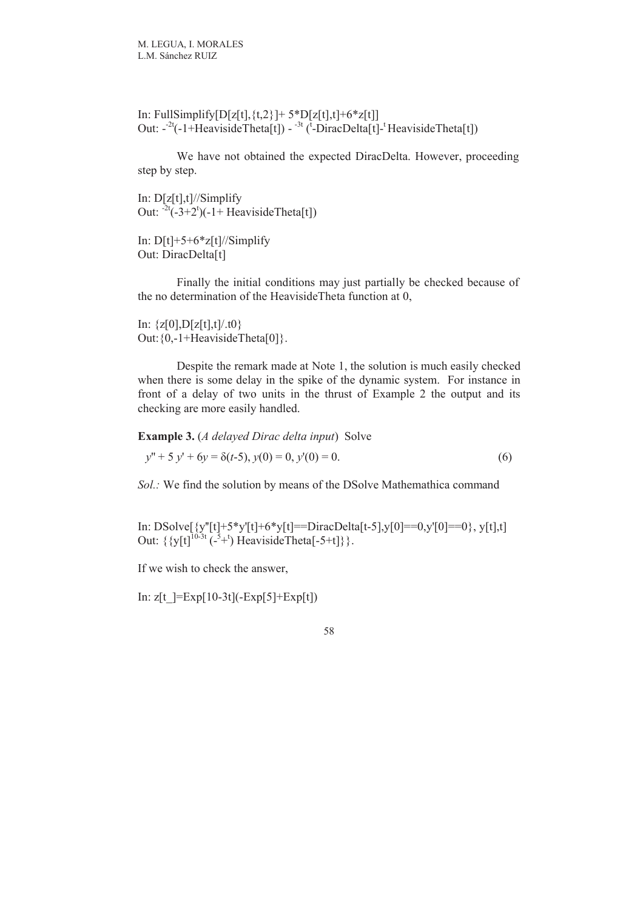In: FullSimplify[D[z[t],  $\{t,2\}$ ]+ 5\*D[z[t], t]+6\*z[t]] Out:  $-2t(-1) + HeavisideTheta[1]) - 3t(-1) + C_1E[-1] + HeavisideTheta[1])$ 

We have not obtained the expected DiracDelta. However, proceeding step by step.

In: D[z[t],t]//Simplify Out:  $2t(-3+2^t)(-1)$  Heaviside Theta[t])

In:  $D[t]+5+6*z[t]/\sin\phi$ Out: DiracDelta[t]

Finally the initial conditions may just partially be checked because of the no determination of the HeavisideTheta function at 0,

In:  $\{z[0], D[z[t],t]/.t0\}$ Out: {0,-1+HeavisideTheta[0]}.

Despite the remark made at Note 1, the solution is much easily checked when there is some delay in the spike of the dynamic system. For instance in front of a delay of two units in the thrust of Example 2 the output and its checking are more easily handled.

**Example 3.** (*A delayed Dirac delta input*) Solve

$$
y'' + 5 y' + 6y = \delta(t-5), y(0) = 0, y'(0) = 0.
$$
\n<sup>(6)</sup>

*Sol.:* We find the solution by means of the DSolve Mathemathica command

In: DSolve[{y''[t]+5\*y'[t]+6\*y[t]==DiracDelta[t-5],y[0]==0,y'[0]==0}, y[t],t] Out:  $\{ \{y[t]^{10-3t} \, (-^5 +^t) \}$  Heaviside Theta $[-5+t] \}$ .

If we wish to check the answer,

In:  $z[t] = Exp[10-3t](-Exp[5]+Exp[t])$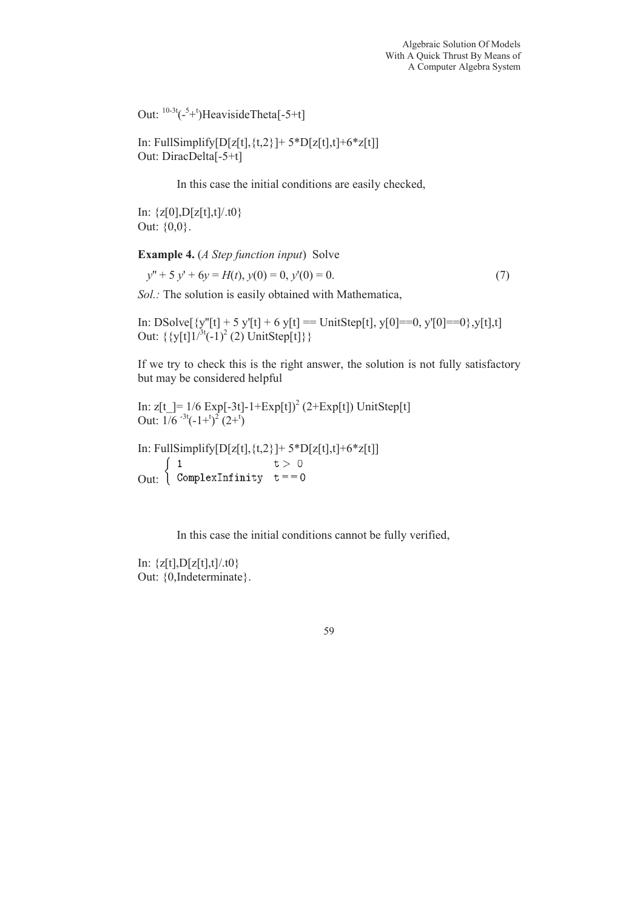Out:  ${}^{10-3t}$ ( $-{}^{5}+{}^{t}$ )HeavisideTheta[ $-5+t$ ]

In: FullSimplify[D[z[t],  $\{t,2\}$ ]+ 5\*D[z[t], t]+6\*z[t]] Out: DiracDelta[-5+t]

In this case the initial conditions are easily checked,

In:  $\{z[0], D[z[t],t]/.t0\}$ Out: {0,0}.

**Example 4.** (*A Step function input*) Solve

$$
y'' + 5y' + 6y = H(t), y(0) = 0, y'(0) = 0.
$$
\n(7)

*Sol.:* The solution is easily obtained with Mathematica,

In: DSolve $[\{y''[t] + 5 y'[t] + 6 y[t] == UnitStep[t], y[0] == 0, y'[0] == 0\}, y[t], t]$ Out:  $\{ \{y[t]1/^{3t}(-1)^{2}(2) \text{UnitStep}[t] \} \}$ 

If we try to check this is the right answer, the solution is not fully satisfactory but may be considered helpful

```
In: z[t] = 1/6 Exp[-3t]-1+Exp[t])<sup>2</sup> (2+Exp[t]) UnitStep[t]
Out: 1/6^{-3t}(-1)^{2}(2)^{t}
```
In: FullSimplify $[D[z[t], \{t, 2\}]$ + 5\* $D[z[t], t]$ +6\* $z[t]$ ]  $\begin{pmatrix} 1 \end{pmatrix}$  $t > 0$ Out:  $\int$  ComplexInfinity  $t == 0$ 

In this case the initial conditions cannot be fully verified,

In:  $\{z[t], D[z[t],t]/.t0\}$ Out: {0,Indeterminate}.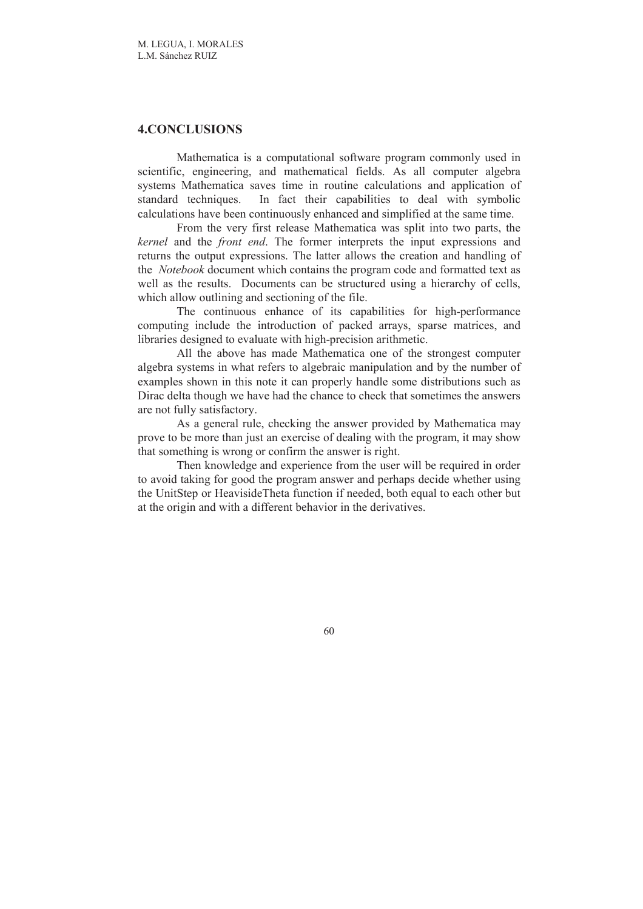# **4.CONCLUSIONS**

Mathematica is a computational software program commonly used in scientific, engineering, and mathematical fields. As all computer algebra systems Mathematica saves time in routine calculations and application of standard techniques. In fact their capabilities to deal with symbolic calculations have been continuously enhanced and simplified at the same time.

From the very first release Mathematica was split into two parts, the *kernel* and the *front end*. The former interprets the input expressions and returns the output expressions. The latter allows the creation and handling of the *Notebook* document which contains the program code and formatted text as well as the results. Documents can be structured using a hierarchy of cells, which allow outlining and sectioning of the file.

The continuous enhance of its capabilities for high-performance computing include the introduction of packed arrays, sparse matrices, and libraries designed to evaluate with high-precision arithmetic.

All the above has made Mathematica one of the strongest computer algebra systems in what refers to algebraic manipulation and by the number of examples shown in this note it can properly handle some distributions such as Dirac delta though we have had the chance to check that sometimes the answers are not fully satisfactory.

As a general rule, checking the answer provided by Mathematica may prove to be more than just an exercise of dealing with the program, it may show that something is wrong or confirm the answer is right.

Then knowledge and experience from the user will be required in order to avoid taking for good the program answer and perhaps decide whether using the UnitStep or HeavisideTheta function if needed, both equal to each other but at the origin and with a different behavior in the derivatives.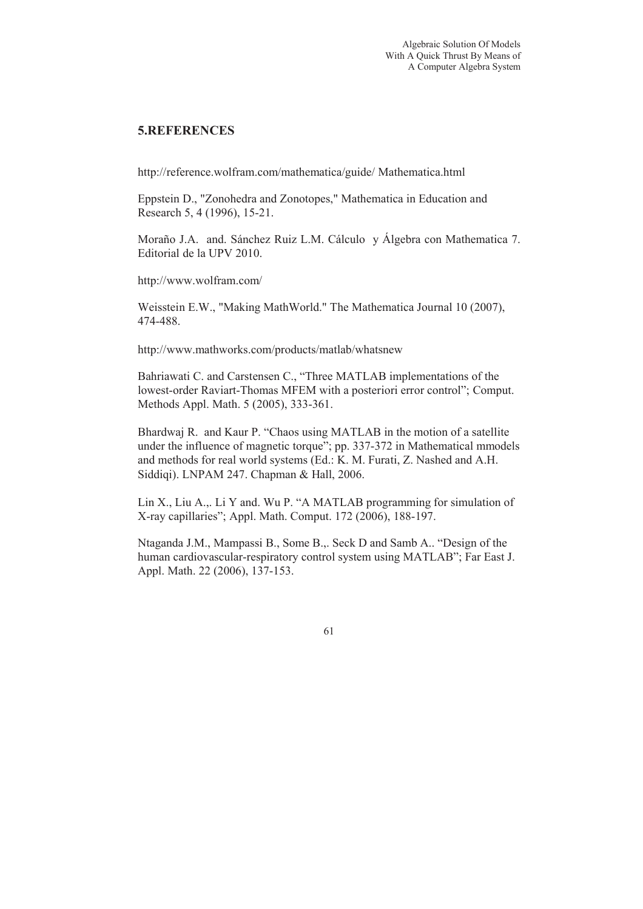# **5.REFERENCES**

http://reference.wolfram.com/mathematica/guide/ Mathematica.html

Eppstein D., "Zonohedra and Zonotopes," Mathematica in Education and Research 5, 4 (1996), 15-21.

Moraño J.A. and. Sánchez Ruiz L.M. Cálculo y Álgebra con Mathematica 7. Editorial de la UPV 2010.

http://www.wolfram.com/

Weisstein E.W., "Making MathWorld." The Mathematica Journal 10 (2007), 474-488.

http://www.mathworks.com/products/matlab/whatsnew

Bahriawati C. and Carstensen C., "Three MATLAB implementations of the lowest-order Raviart-Thomas MFEM with a posteriori error control"; Comput. Methods Appl. Math. 5 (2005), 333-361.

Bhardwaj R. and Kaur P. "Chaos using MATLAB in the motion of a satellite under the influence of magnetic torque"; pp. 337-372 in Mathematical mmodels and methods for real world systems (Ed.: K. M. Furati, Z. Nashed and A.H. Siddiqi). LNPAM 247. Chapman & Hall, 2006.

Lin X., Liu A.,. Li Y and. Wu P. "A MATLAB programming for simulation of X-ray capillaries"; Appl. Math. Comput. 172 (2006), 188-197.

Ntaganda J.M., Mampassi B., Some B.,. Seck D and Samb A.. "Design of the human cardiovascular-respiratory control system using MATLAB"; Far East J. Appl. Math. 22 (2006), 137-153.